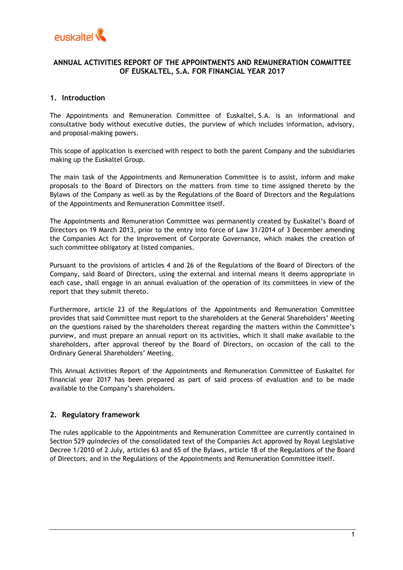

# **ANNUAL ACTIVITIES REPORT OF THE APPOINTMENTS AND REMUNERATION COMMITTEE OF EUSKALTEL, S.A. FOR FINANCIAL YEAR 2017**

## **1. Introduction**

The Appointments and Remuneration Committee of Euskaltel, S.A. is an informational and consultative body without executive duties, the purview of which includes information, advisory, and proposal-making powers.

This scope of application is exercised with respect to both the parent Company and the subsidiaries making up the Euskaltel Group.

The main task of the Appointments and Remuneration Committee is to assist, inform and make proposals to the Board of Directors on the matters from time to time assigned thereto by the Bylaws of the Company as well as by the Regulations of the Board of Directors and the Regulations of the Appointments and Remuneration Committee itself.

The Appointments and Remuneration Committee was permanently created by Euskaltel's Board of Directors on 19 March 2013, prior to the entry into force of Law 31/2014 of 3 December amending the Companies Act for the Improvement of Corporate Governance, which makes the creation of such committee obligatory at listed companies.

Pursuant to the provisions of articles 4 and 26 of the Regulations of the Board of Directors of the Company, said Board of Directors, using the external and internal means it deems appropriate in each case, shall engage in an annual evaluation of the operation of its committees in view of the report that they submit thereto.

Furthermore, article 23 of the Regulations of the Appointments and Remuneration Committee provides that said Committee must report to the shareholders at the General Shareholders' Meeting on the questions raised by the shareholders thereat regarding the matters within the Committee's purview, and must prepare an annual report on its activities, which it shall make available to the shareholders, after approval thereof by the Board of Directors, on occasion of the call to the Ordinary General Shareholders' Meeting.

This Annual Activities Report of the Appointments and Remuneration Committee of Euskaltel for financial year 2017 has been prepared as part of said process of evaluation and to be made available to the Company's shareholders.

### **2. Regulatory framework**

The rules applicable to the Appointments and Remuneration Committee are currently contained in Section 529 *quindecies* of the consolidated text of the Companies Act approved by Royal Legislative Decree 1/2010 of 2 July, articles 63 and 65 of the Bylaws, article 18 of the Regulations of the Board of Directors, and in the Regulations of the Appointments and Remuneration Committee itself.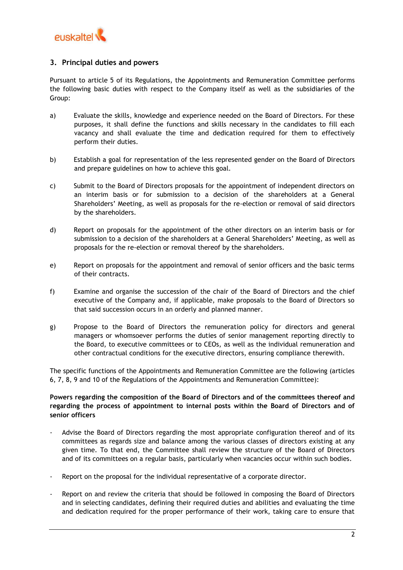

## **3. Principal duties and powers**

Pursuant to article 5 of its Regulations, the Appointments and Remuneration Committee performs the following basic duties with respect to the Company itself as well as the subsidiaries of the Group:

- a) Evaluate the skills, knowledge and experience needed on the Board of Directors. For these purposes, it shall define the functions and skills necessary in the candidates to fill each vacancy and shall evaluate the time and dedication required for them to effectively perform their duties.
- b) Establish a goal for representation of the less represented gender on the Board of Directors and prepare guidelines on how to achieve this goal.
- c) Submit to the Board of Directors proposals for the appointment of independent directors on an interim basis or for submission to a decision of the shareholders at a General Shareholders' Meeting, as well as proposals for the re-election or removal of said directors by the shareholders.
- d) Report on proposals for the appointment of the other directors on an interim basis or for submission to a decision of the shareholders at a General Shareholders' Meeting, as well as proposals for the re-election or removal thereof by the shareholders.
- e) Report on proposals for the appointment and removal of senior officers and the basic terms of their contracts.
- f) Examine and organise the succession of the chair of the Board of Directors and the chief executive of the Company and, if applicable, make proposals to the Board of Directors so that said succession occurs in an orderly and planned manner.
- g) Propose to the Board of Directors the remuneration policy for directors and general managers or whomsoever performs the duties of senior management reporting directly to the Board, to executive committees or to CEOs, as well as the individual remuneration and other contractual conditions for the executive directors, ensuring compliance therewith.

The specific functions of the Appointments and Remuneration Committee are the following (articles 6, 7, 8, 9 and 10 of the Regulations of the Appointments and Remuneration Committee):

## **Powers regarding the composition of the Board of Directors and of the committees thereof and regarding the process of appointment to internal posts within the Board of Directors and of senior officers**

- Advise the Board of Directors regarding the most appropriate configuration thereof and of its committees as regards size and balance among the various classes of directors existing at any given time. To that end, the Committee shall review the structure of the Board of Directors and of its committees on a regular basis, particularly when vacancies occur within such bodies.
- Report on the proposal for the individual representative of a corporate director.
- Report on and review the criteria that should be followed in composing the Board of Directors and in selecting candidates, defining their required duties and abilities and evaluating the time and dedication required for the proper performance of their work, taking care to ensure that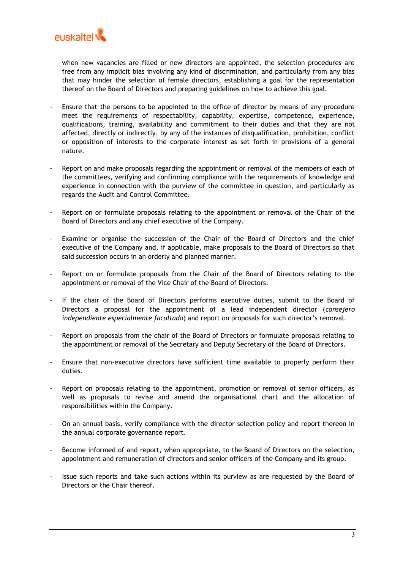

when new vacancies are filled or new directors are appointed, the selection procedures are free from any implicit bias involving any kind of discrimination, and particularly from any bias that may hinder the selection of female directors, establishing a goal for the representation thereof on the Board of Directors and preparing guidelines on how to achieve this goal.

- Ensure that the persons to be appointed to the office of director by means of any procedure meet the requirements of respectability, capability, expertise, competence, experience, qualifications, training, availability and commitment to their duties and that they are not affected, directly or indirectly, by any of the instances of disqualification, prohibition, conflict or opposition of interests to the corporate interest as set forth in provisions of a general nature.
- Report on and make proposals regarding the appointment or removal of the members of each of the committees, verifying and confirming compliance with the requirements of knowledge and experience in connection with the purview of the committee in question, and particularly as regards the Audit and Control Committee.
- Report on or formulate proposals relating to the appointment or removal of the Chair of the Board of Directors and any chief executive of the Company.
- Examine or organise the succession of the Chair of the Board of Directors and the chief executive of the Company and, if applicable, make proposals to the Board of Directors so that said succession occurs in an orderly and planned manner.
- Report on or formulate proposals from the Chair of the Board of Directors relating to the appointment or removal of the Vice Chair of the Board of Directors.
- If the chair of the Board of Directors performs executive duties, submit to the Board of Directors a proposal for the appointment of a lead independent director (*consejero independiente especialmente facultado*) and report on proposals for such director's removal.
- Report on proposals from the chair of the Board of Directors or formulate proposals relating to the appointment or removal of the Secretary and Deputy Secretary of the Board of Directors.
- Ensure that non-executive directors have sufficient time available to properly perform their duties.
- Report on proposals relating to the appointment, promotion or removal of senior officers, as well as proposals to revise and amend the organisational chart and the allocation of responsibilities within the Company.
- On an annual basis, verify compliance with the director selection policy and report thereon in the annual corporate governance report.
- Become informed of and report, when appropriate, to the Board of Directors on the selection, appointment and remuneration of directors and senior officers of the Company and its group.
- Issue such reports and take such actions within its purview as are requested by the Board of Directors or the Chair thereof.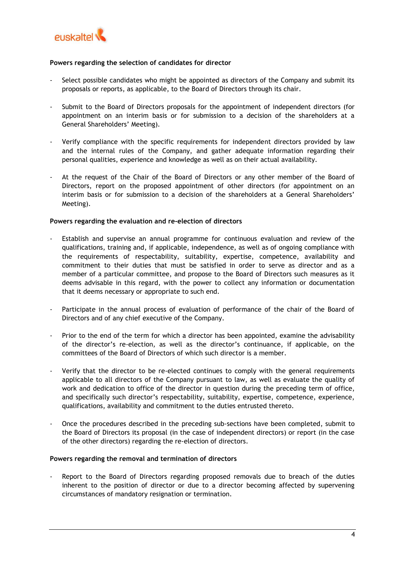

### **Powers regarding the selection of candidates for director**

- Select possible candidates who might be appointed as directors of the Company and submit its proposals or reports, as applicable, to the Board of Directors through its chair.
- Submit to the Board of Directors proposals for the appointment of independent directors (for appointment on an interim basis or for submission to a decision of the shareholders at a General Shareholders' Meeting).
- Verify compliance with the specific requirements for independent directors provided by law and the internal rules of the Company, and gather adequate information regarding their personal qualities, experience and knowledge as well as on their actual availability.
- At the request of the Chair of the Board of Directors or any other member of the Board of Directors, report on the proposed appointment of other directors (for appointment on an interim basis or for submission to a decision of the shareholders at a General Shareholders' Meeting).

### **Powers regarding the evaluation and re-election of directors**

- Establish and supervise an annual programme for continuous evaluation and review of the qualifications, training and, if applicable, independence, as well as of ongoing compliance with the requirements of respectability, suitability, expertise, competence, availability and commitment to their duties that must be satisfied in order to serve as director and as a member of a particular committee, and propose to the Board of Directors such measures as it deems advisable in this regard, with the power to collect any information or documentation that it deems necessary or appropriate to such end.
- Participate in the annual process of evaluation of performance of the chair of the Board of Directors and of any chief executive of the Company.
- Prior to the end of the term for which a director has been appointed, examine the advisability of the director's re-election, as well as the director's continuance, if applicable, on the committees of the Board of Directors of which such director is a member.
- Verify that the director to be re-elected continues to comply with the general requirements applicable to all directors of the Company pursuant to law, as well as evaluate the quality of work and dedication to office of the director in question during the preceding term of office, and specifically such director's respectability, suitability, expertise, competence, experience, qualifications, availability and commitment to the duties entrusted thereto.
- Once the procedures described in the preceding sub-sections have been completed, submit to the Board of Directors its proposal (in the case of independent directors) or report (in the case of the other directors) regarding the re-election of directors.

#### **Powers regarding the removal and termination of directors**

Report to the Board of Directors regarding proposed removals due to breach of the duties inherent to the position of director or due to a director becoming affected by supervening circumstances of mandatory resignation or termination.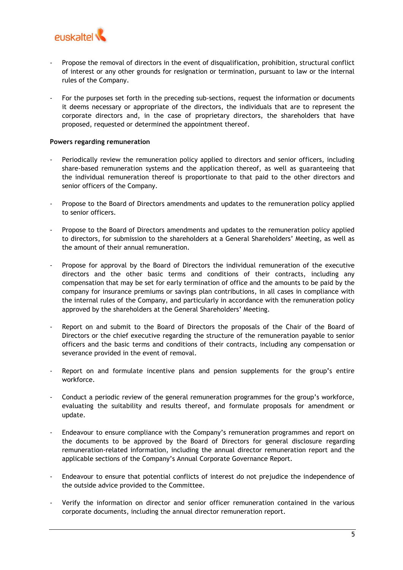

- Propose the removal of directors in the event of disqualification, prohibition, structural conflict of interest or any other grounds for resignation or termination, pursuant to law or the internal rules of the Company.
- For the purposes set forth in the preceding sub-sections, request the information or documents it deems necessary or appropriate of the directors, the individuals that are to represent the corporate directors and, in the case of proprietary directors, the shareholders that have proposed, requested or determined the appointment thereof.

### **Powers regarding remuneration**

- Periodically review the remuneration policy applied to directors and senior officers, including share-based remuneration systems and the application thereof, as well as guaranteeing that the individual remuneration thereof is proportionate to that paid to the other directors and senior officers of the Company.
- Propose to the Board of Directors amendments and updates to the remuneration policy applied to senior officers.
- Propose to the Board of Directors amendments and updates to the remuneration policy applied to directors, for submission to the shareholders at a General Shareholders' Meeting, as well as the amount of their annual remuneration.
- Propose for approval by the Board of Directors the individual remuneration of the executive directors and the other basic terms and conditions of their contracts, including any compensation that may be set for early termination of office and the amounts to be paid by the company for insurance premiums or savings plan contributions, in all cases in compliance with the internal rules of the Company, and particularly in accordance with the remuneration policy approved by the shareholders at the General Shareholders' Meeting.
- Report on and submit to the Board of Directors the proposals of the Chair of the Board of Directors or the chief executive regarding the structure of the remuneration payable to senior officers and the basic terms and conditions of their contracts, including any compensation or severance provided in the event of removal.
- Report on and formulate incentive plans and pension supplements for the group's entire workforce.
- Conduct a periodic review of the general remuneration programmes for the group's workforce, evaluating the suitability and results thereof, and formulate proposals for amendment or update.
- Endeavour to ensure compliance with the Company's remuneration programmes and report on the documents to be approved by the Board of Directors for general disclosure regarding remuneration-related information, including the annual director remuneration report and the applicable sections of the Company's Annual Corporate Governance Report.
- Endeavour to ensure that potential conflicts of interest do not prejudice the independence of the outside advice provided to the Committee.
- Verify the information on director and senior officer remuneration contained in the various corporate documents, including the annual director remuneration report.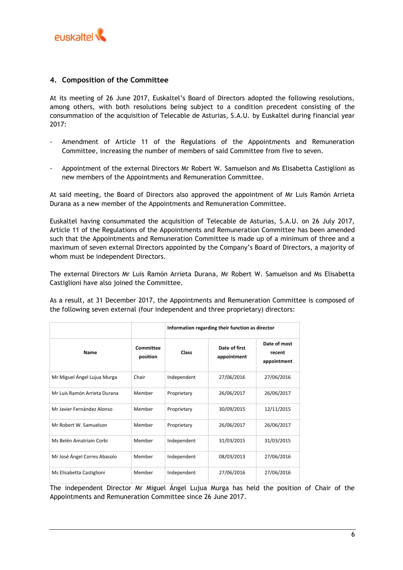

## **4. Composition of the Committee**

At its meeting of 26 June 2017, Euskaltel's Board of Directors adopted the following resolutions, among others, with both resolutions being subject to a condition precedent consisting of the consummation of the acquisition of Telecable de Asturias, S.A.U. by Euskaltel during financial year 2017:

- Amendment of Article 11 of the Regulations of the Appointments and Remuneration Committee, increasing the number of members of said Committee from five to seven.
- Appointment of the external Directors Mr Robert W. Samuelson and Ms Elisabetta Castiglioni as new members of the Appointments and Remuneration Committee.

At said meeting, the Board of Directors also approved the appointment of Mr Luis Ramón Arrieta Durana as a new member of the Appointments and Remuneration Committee.

Euskaltel having consummated the acquisition of Telecable de Asturias, S.A.U. on 26 July 2017, Article 11 of the Regulations of the Appointments and Remuneration Committee has been amended such that the Appointments and Remuneration Committee is made up of a minimum of three and a maximum of seven external Directors appointed by the Company's Board of Directors, a majority of whom must be independent Directors.

The external Directors Mr Luis Ramón Arrieta Durana, Mr Robert W. Samuelson and Ms Elisabetta Castiglioni have also joined the Committee.

As a result, at 31 December 2017, the Appointments and Remuneration Committee is composed of the following seven external (four independent and three proprietary) directors:

|                              |                       | Information regarding their function as director |                              |                                       |
|------------------------------|-----------------------|--------------------------------------------------|------------------------------|---------------------------------------|
| Name                         | Committee<br>position | Class                                            | Date of first<br>appointment | Date of most<br>recent<br>appointment |
| Mr Miguel Ángel Lujua Murga  | Chair                 | Independent                                      | 27/06/2016                   | 27/06/2016                            |
| Mr Luis Ramón Arrieta Durana | Member                | Proprietary                                      | 26/06/2017                   | 26/06/2017                            |
| Mr Javier Fernández Alonso   | Member                | Proprietary                                      | 30/09/2015                   | 12/11/2015                            |
| Mr Robert W. Samuelson       | Member                | Proprietary                                      | 26/06/2017                   | 26/06/2017                            |
| Ms Belén Amatriain Corbi     | Member                | Independent                                      | 31/03/2015                   | 31/03/2015                            |
| Mr José Ángel Corres Abasolo | Member                | Independent                                      | 08/03/2013                   | 27/06/2016                            |
| Ms Elisabetta Castiglioni    | Member                | Independent                                      | 27/06/2016                   | 27/06/2016                            |

The independent Director Mr Miguel Ángel Lujua Murga has held the position of Chair of the Appointments and Remuneration Committee since 26 June 2017.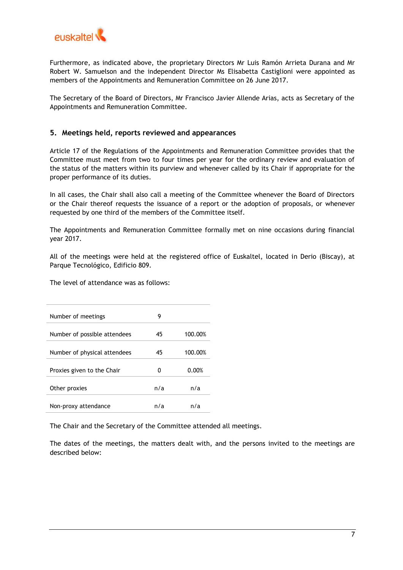

Furthermore, as indicated above, the proprietary Directors Mr Luis Ramón Arrieta Durana and Mr Robert W. Samuelson and the independent Director Ms Elisabetta Castiglioni were appointed as members of the Appointments and Remuneration Committee on 26 June 2017.

The Secretary of the Board of Directors, Mr Francisco Javier Allende Arias, acts as Secretary of the Appointments and Remuneration Committee.

## **5. Meetings held, reports reviewed and appearances**

Article 17 of the Regulations of the Appointments and Remuneration Committee provides that the Committee must meet from two to four times per year for the ordinary review and evaluation of the status of the matters within its purview and whenever called by its Chair if appropriate for the proper performance of its duties.

In all cases, the Chair shall also call a meeting of the Committee whenever the Board of Directors or the Chair thereof requests the issuance of a report or the adoption of proposals, or whenever requested by one third of the members of the Committee itself.

The Appointments and Remuneration Committee formally met on nine occasions during financial year 2017.

All of the meetings were held at the registered office of Euskaltel, located in Derio (Biscay), at Parque Tecnológico, Edificio 809.

The level of attendance was as follows:

| Number of meetings           | 9   |         |
|------------------------------|-----|---------|
| Number of possible attendees | 45  | 100.00% |
| Number of physical attendees | 45  | 100.00% |
| Proxies given to the Chair   | o   | 0.00%   |
| Other proxies                | n/a | n/a     |
| Non-proxy attendance         | n/a | n/a     |

The Chair and the Secretary of the Committee attended all meetings.

The dates of the meetings, the matters dealt with, and the persons invited to the meetings are described below: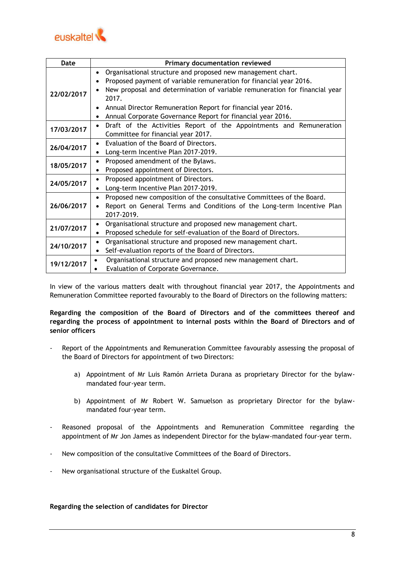

| Date       | Primary documentation reviewed                                                                                                                                                                                                                                                                                                                                                    |  |  |  |
|------------|-----------------------------------------------------------------------------------------------------------------------------------------------------------------------------------------------------------------------------------------------------------------------------------------------------------------------------------------------------------------------------------|--|--|--|
| 22/02/2017 | Organisational structure and proposed new management chart.<br>$\bullet$<br>Proposed payment of variable remuneration for financial year 2016.<br>$\bullet$<br>New proposal and determination of variable remuneration for financial year<br>2017.<br>Annual Director Remuneration Report for financial year 2016.<br>Annual Corporate Governance Report for financial year 2016. |  |  |  |
| 17/03/2017 | Draft of the Activities Report of the Appointments and Remuneration<br>$\bullet$<br>Committee for financial year 2017.                                                                                                                                                                                                                                                            |  |  |  |
| 26/04/2017 | Evaluation of the Board of Directors.<br>$\bullet$<br>Long-term Incentive Plan 2017-2019.                                                                                                                                                                                                                                                                                         |  |  |  |
| 18/05/2017 | Proposed amendment of the Bylaws.<br>Proposed appointment of Directors.                                                                                                                                                                                                                                                                                                           |  |  |  |
| 24/05/2017 | Proposed appointment of Directors.<br>$\bullet$<br>Long-term Incentive Plan 2017-2019.                                                                                                                                                                                                                                                                                            |  |  |  |
| 26/06/2017 | Proposed new composition of the consultative Committees of the Board.<br>$\bullet$<br>Report on General Terms and Conditions of the Long-term Incentive Plan<br>$\bullet$<br>2017-2019.                                                                                                                                                                                           |  |  |  |
| 21/07/2017 | Organisational structure and proposed new management chart.<br>$\bullet$<br>Proposed schedule for self-evaluation of the Board of Directors.                                                                                                                                                                                                                                      |  |  |  |
| 24/10/2017 | Organisational structure and proposed new management chart.<br>$\bullet$<br>Self-evaluation reports of the Board of Directors.                                                                                                                                                                                                                                                    |  |  |  |
| 19/12/2017 | Organisational structure and proposed new management chart.<br>Evaluation of Corporate Governance.                                                                                                                                                                                                                                                                                |  |  |  |

In view of the various matters dealt with throughout financial year 2017, the Appointments and Remuneration Committee reported favourably to the Board of Directors on the following matters:

**Regarding the composition of the Board of Directors and of the committees thereof and regarding the process of appointment to internal posts within the Board of Directors and of senior officers**

- Report of the Appointments and Remuneration Committee favourably assessing the proposal of the Board of Directors for appointment of two Directors:
	- a) Appointment of Mr Luis Ramón Arrieta Durana as proprietary Director for the bylawmandated four-year term.
	- b) Appointment of Mr Robert W. Samuelson as proprietary Director for the bylawmandated four-year term.
- Reasoned proposal of the Appointments and Remuneration Committee regarding the appointment of Mr Jon James as independent Director for the bylaw-mandated four-year term.
- New composition of the consultative Committees of the Board of Directors.
- New organisational structure of the Euskaltel Group.

### **Regarding the selection of candidates for Director**